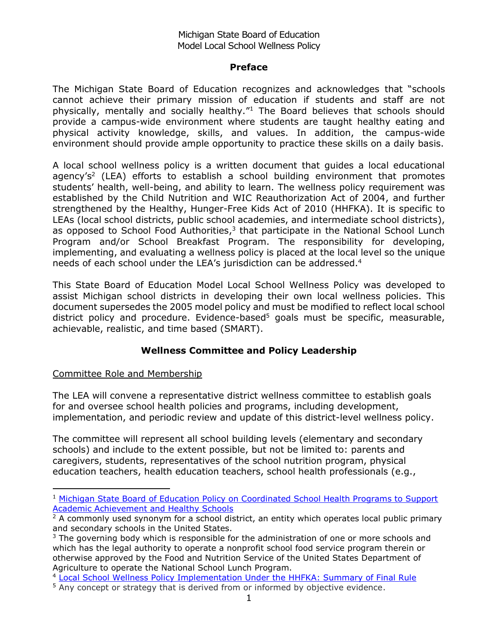#### Michigan State Board of Education Model Local School Wellness Policy

#### **Preface**

The Michigan State Board of Education recognizes and acknowledges that "schools cannot achieve their primary mission of education if students and staff are not physically, mentally and socially healthy."<sup>1</sup> The Board believes that schools should provide a campus-wide environment where students are taught healthy eating and physical activity knowledge, skills, and values. In addition, the campus-wide environment should provide ample opportunity to practice these skills on a daily basis.

A local school wellness policy is a written document that guides a local educational agency's<sup>2</sup> (LEA) efforts to establish a school building environment that promotes students' health, well-being, and ability to learn. The wellness policy requirement was established by the Child Nutrition and WIC Reauthorization Act of 2004, and further strengthened by the Healthy, Hunger-Free Kids Act of 2010 (HHFKA). It is specific to LEAs (local school districts, public school academies, and intermediate school districts), as opposed to School Food Authorities, $3$  that participate in the National School Lunch Program and/or School Breakfast Program. The responsibility for developing, implementing, and evaluating a wellness policy is placed at the local level so the unique needs of each school under the LEA's jurisdiction can be addressed.<sup>4</sup>

This State Board of Education Model Local School Wellness Policy was developed to assist Michigan school districts in developing their own local wellness policies. This document supersedes the 2005 model policy and must be modified to reflect local school district policy and procedure. Evidence-based<sup>5</sup> goals must be specific, measurable, achievable, realistic, and time based (SMART).

# **Wellness Committee and Policy Leadership**

Committee Role and Membership

1

The LEA will convene a representative district wellness committee to establish goals for and oversee school health policies and programs, including development, implementation, and periodic review and update of this district-level wellness policy.

The committee will represent all school building levels (elementary and secondary schools) and include to the extent possible, but not be limited to: parents and caregivers, students, representatives of the school nutrition program, physical education teachers, health education teachers, school health professionals (e.g.,

<sup>&</sup>lt;sup>1</sup> Michigan State Board of Education Policy on Coordinated School Health Programs to Support [Academic Achievement and Healthy Schools](http://www.michigan.gov/documents/CSHP_Policy_77375_7.pdf)

 $2$  A commonly used synonym for a school district, an entity which operates local public primary and secondary schools in the United States.

 $3$  The governing body which is responsible for the administration of one or more schools and which has the legal authority to operate a nonprofit school food service program therein or otherwise approved by the Food and Nutrition Service of the United States Department of Agriculture to operate the National School Lunch Program.

<sup>4</sup> [Local School Wellness Policy Implementation Under the HHFKA: Summary of Final Rule](http://www.fns.usda.gov/sites/default/files/tn/LWPsummary_finalrule.pdf)

<sup>&</sup>lt;sup>5</sup> Any concept or strategy that is derived from or informed by objective evidence.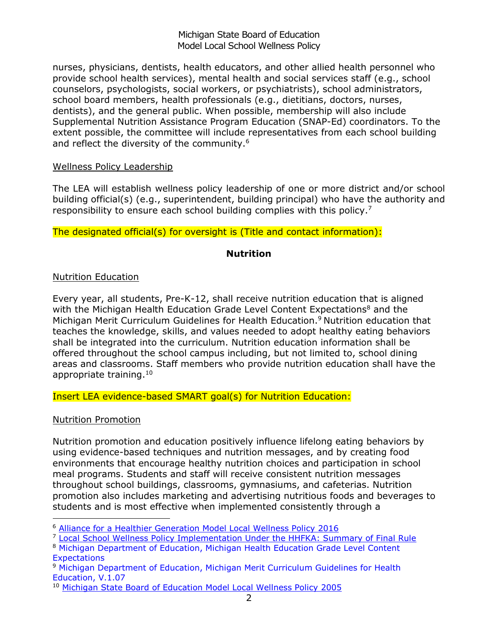#### Michigan State Board of Education Model Local School Wellness Policy

nurses, physicians, dentists, health educators, and other allied health personnel who provide school health services), mental health and social services staff (e.g., school counselors, psychologists, social workers, or psychiatrists), school administrators, school board members, health professionals (e.g., dietitians, doctors, nurses, dentists), and the general public. When possible, membership will also include Supplemental Nutrition Assistance Program Education (SNAP-Ed) coordinators. To the extent possible, the committee will include representatives from each school building and reflect the diversity of the community.<sup>6</sup>

#### Wellness Policy Leadership

The LEA will establish wellness policy leadership of one or more district and/or school building official(s) (e.g., superintendent, building principal) who have the authority and responsibility to ensure each school building complies with this policy.<sup>7</sup>

The designated official(s) for oversight is (Title and contact information):

# **Nutrition**

# Nutrition Education

Every year, all students, Pre-K-12, shall receive nutrition education that is aligned with the Michigan Health Education Grade Level Content Expectations<sup>8</sup> and the Michigan Merit Curriculum Guidelines for Health Education. <sup>9</sup> Nutrition education that teaches the knowledge, skills, and values needed to adopt healthy eating behaviors shall be integrated into the curriculum. Nutrition education information shall be offered throughout the school campus including, but not limited to, school dining areas and classrooms. Staff members who provide nutrition education shall have the appropriate training.<sup>10</sup>

Insert LEA evidence-based SMART goal(s) for Nutrition Education:

#### Nutrition Promotion

 $\overline{a}$ 

Nutrition promotion and education positively influence lifelong eating behaviors by using evidence-based techniques and nutrition messages, and by creating food environments that encourage healthy nutrition choices and participation in school meal programs. Students and staff will receive consistent nutrition messages throughout school buildings, classrooms, gymnasiums, and cafeterias. Nutrition promotion also includes marketing and advertising nutritious foods and beverages to students and is most effective when implemented consistently through a

<sup>6</sup> [Alliance for a Healthier Generation Model Local Wellness Policy](https://www.healthiergeneration.org/_asset/wtqdwu/14-6372_ModelWellnessPolicy.doc) 2016

<sup>7</sup> [Local School Wellness Policy Implementation Under the HHFKA: Summary of Final Rule](http://www.fns.usda.gov/sites/default/files/tn/LWPsummary_finalrule.pdf)

<sup>8</sup> Michigan Department of Education, Michigan Health Education Grade Level Content **Expectations** 

<sup>&</sup>lt;sup>9</sup> Michigan Department of Education, Michigan Merit Curriculum Guidelines for Health Education, V.1.07

<sup>10</sup> [Michigan State Board of Education Model Local Wellness Policy](http://www.michigan.gov/documents/Policy_on_Welness_141434_7.pdf) 2005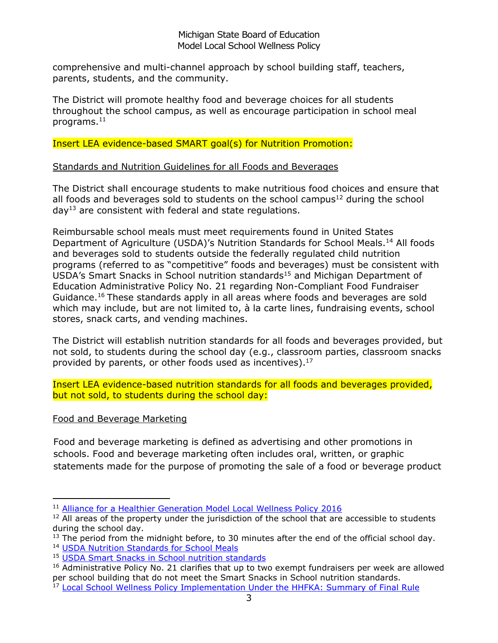#### Michigan State Board of Education Model Local School Wellness Policy

comprehensive and multi-channel approach by school building staff, teachers, parents, students, and the community.

The District will promote healthy food and beverage choices for all students throughout the school campus, as well as encourage participation in school meal programs.<sup>11</sup>

# Insert LEA evidence-based SMART goal(s) for Nutrition Promotion:

# Standards and Nutrition Guidelines for all Foods and Beverages

The District shall encourage students to make nutritious food choices and ensure that all foods and beverages sold to students on the school campus $^{12}$  during the school  $day<sup>13</sup>$  are consistent with federal and state regulations.

Reimbursable school meals must meet requirements found in United States Department of Agriculture (USDA)'s Nutrition Standards for School Meals.<sup>14</sup> All foods and beverages sold to students outside the federally regulated child nutrition programs (referred to as "competitive" foods and beverages) must be consistent with USDA's Smart Snacks in School nutrition standards<sup>15</sup> and Michigan Department of Education Administrative Policy No. 21 regarding Non-Compliant Food Fundraiser Guidance. <sup>16</sup> These standards apply in all areas where foods and beverages are sold which may include, but are not limited to, à la carte lines, fundraising events, school stores, snack carts, and vending machines.

The District will establish nutrition standards for all foods and beverages provided, but not sold, to students during the school day (e.g., classroom parties, classroom snacks provided by parents, or other foods used as incentives).<sup>17</sup>

Insert LEA evidence-based nutrition standards for all foods and beverages provided, but not sold, to students during the school day:

# Food and Beverage Marketing

 $\overline{a}$ 

Food and beverage marketing is defined as advertising and other promotions in schools. Food and beverage marketing often includes oral, written, or graphic statements made for the purpose of promoting the sale of a food or beverage product

<sup>&</sup>lt;sup>11</sup> [Alliance for a Healthier Generation Model Local Wellness Policy 2016](https://www.healthiergeneration.org/_asset/wtqdwu/14-6372_ModelWellnessPolicy.doc)

 $12$  All areas of the property under the jurisdiction of the school that are accessible to students during the school day.

 $13$  The period from the midnight before, to 30 minutes after the end of the official school day. <sup>14</sup> [USDA Nutrition Standards for School Meals](http://www.fns.usda.gov/school-meals/nutrition-standards-school-meals)

<sup>15</sup> [USDA Smart Snacks in School nutrition standards](http://www.fns.usda.gov/healthierschoolday/tools-schools-focusing-smart-snacks)

<sup>&</sup>lt;sup>16</sup> Administrative Policy No. 21 clarifies that up to two exempt fundraisers per week are allowed per school building that do not meet the Smart Snacks in School nutrition standards.

<sup>&</sup>lt;sup>17</sup> [Local School Wellness Policy Implementation Under the HHFKA: Summary of Final Rule](http://www.fns.usda.gov/sites/default/files/tn/LWPsummary_finalrule.pdf)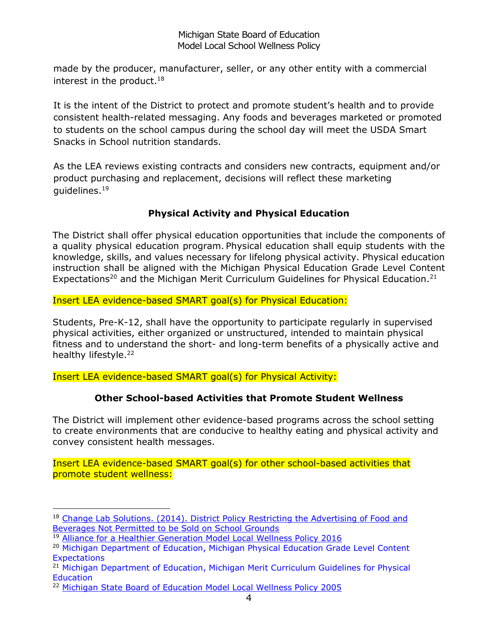made by the producer, manufacturer, seller, or any other entity with a commercial interest in the product.<sup>18</sup>

It is the intent of the District to protect and promote student's health and to provide consistent health-related messaging. Any foods and beverages marketed or promoted to students on the school campus during the school day will meet the USDA Smart Snacks in School nutrition standards.

As the LEA reviews existing contracts and considers new contracts, equipment and/or product purchasing and replacement, decisions will reflect these marketing quidelines. $19$ 

# **Physical Activity and Physical Education**

The District shall offer physical education opportunities that include the components of a quality physical education program. Physical education shall equip students with the knowledge, skills, and values necessary for lifelong physical activity. Physical education instruction shall be aligned with the Michigan Physical Education Grade Level Content Expectations<sup>20</sup> and the Michigan Merit Curriculum Guidelines for Physical Education.<sup>21</sup>

Insert LEA evidence-based SMART goal(s) for Physical Education:

Students, Pre-K-12, shall have the opportunity to participate regularly in supervised physical activities, either organized or unstructured, intended to maintain physical fitness and to understand the short- and long-term benefits of a physically active and healthy lifestyle.<sup>22</sup>

Insert LEA evidence-based SMART goal(s) for Physical Activity:

# **Other School-based Activities that Promote Student Wellness**

The District will implement other evidence-based programs across the school setting to create environments that are conducive to healthy eating and physical activity and convey consistent health messages.

Insert LEA evidence-based SMART goal(s) for other school-based activities that promote student wellness:

<sup>1</sup> <sup>18</sup> Change Lab Solutions. (2014). District Policy Restricting the Advertising of Food and [Beverages Not Permitted to be Sold on School Grounds](http://changelabsolutions.org/publications/district-policy-school-food-ads)

<sup>&</sup>lt;sup>19</sup> [Alliance for a Healthier Generation Model Local Wellness Policy 2016](https://www.healthiergeneration.org/_asset/wtqdwu/14-6372_ModelWellnessPolicy.doc)

<sup>&</sup>lt;sup>20</sup> Michigan Department of Education, Michigan Physical Education Grade Level Content **Expectations** 

<sup>21</sup> Michigan Department of Education, Michigan Merit Curriculum Guidelines for Physical Education

<sup>&</sup>lt;sup>22</sup> [Michigan State Board of Education Model Local Wellness Policy 2005](http://www.michigan.gov/documents/Policy_on_Welness_141434_7.pdf)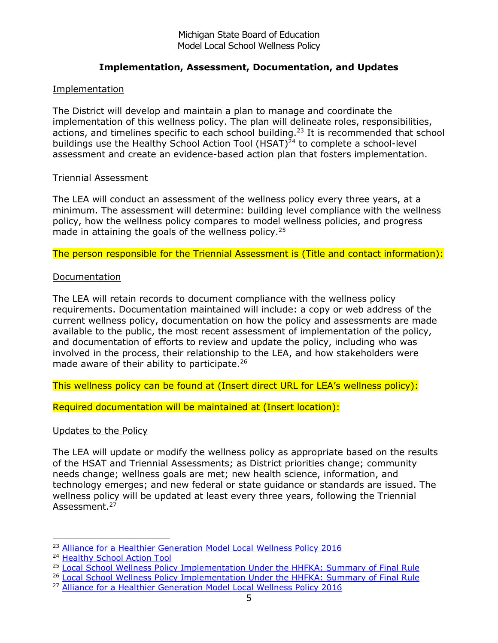# **Implementation, Assessment, Documentation, and Updates**

# Implementation

The District will develop and maintain a plan to manage and coordinate the implementation of this wellness policy. The plan will delineate roles, responsibilities, actions, and timelines specific to each school building.<sup>23</sup> It is recommended that school buildings use the Healthy School Action Tool  $(HSAT)^{24}$  to complete a school-level assessment and create an evidence-based action plan that fosters implementation.

#### Triennial Assessment

The LEA will conduct an assessment of the wellness policy every three years, at a minimum. The assessment will determine: building level compliance with the wellness policy, how the wellness policy compares to model wellness policies, and progress made in attaining the goals of the wellness policy.<sup>25</sup>

The person responsible for the Triennial Assessment is (Title and contact information):

# **Documentation**

The LEA will retain records to document compliance with the wellness policy requirements. Documentation maintained will include: a copy or web address of the current wellness policy, documentation on how the policy and assessments are made available to the public, the most recent assessment of implementation of the policy, and documentation of efforts to review and update the policy, including who was involved in the process, their relationship to the LEA, and how stakeholders were made aware of their ability to participate.<sup>26</sup>

This wellness policy can be found at (Insert direct URL for LEA's wellness policy):

Required documentation will be maintained at (Insert location):

# Updates to the Policy

The LEA will update or modify the wellness policy as appropriate based on the results of the HSAT and Triennial Assessments; as District priorities change; community needs change; wellness goals are met; new health science, information, and technology emerges; and new federal or state guidance or standards are issued. The wellness policy will be updated at least every three years, following the Triennial Assessment.<sup>27</sup>

1

<sup>&</sup>lt;sup>23</sup> [Alliance for a Healthier Generation Model Local Wellness Policy 2016](https://www.healthiergeneration.org/_asset/wtqdwu/14-6372_ModelWellnessPolicy.doc)

<sup>24</sup> [Healthy School Action Tool](http://mihealthtools.org/hsat/)

<sup>&</sup>lt;sup>25</sup> [Local School Wellness Policy Implementation Under the HHFKA: Summary of Final Rule](http://www.fns.usda.gov/sites/default/files/tn/LWPsummary_finalrule.pdf)

<sup>&</sup>lt;sup>26</sup> [Local School Wellness Policy Implementation Under the HHFKA: Summary of Final Rule](http://www.fns.usda.gov/sites/default/files/tn/LWPsummary_finalrule.pdf)

<sup>&</sup>lt;sup>27</sup> [Alliance for a Healthier Generation Model Local Wellness Policy 2016](https://www.healthiergeneration.org/_asset/wtqdwu/14-6372_ModelWellnessPolicy.doc)